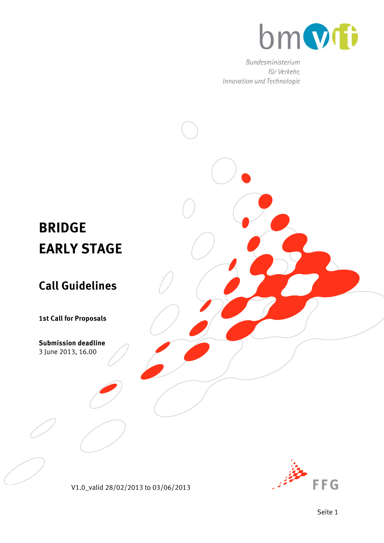

Bundesministerium für Verkehr, Innovation und Technologie



V1.0\_valid 28/02/2013 to 03/06/2013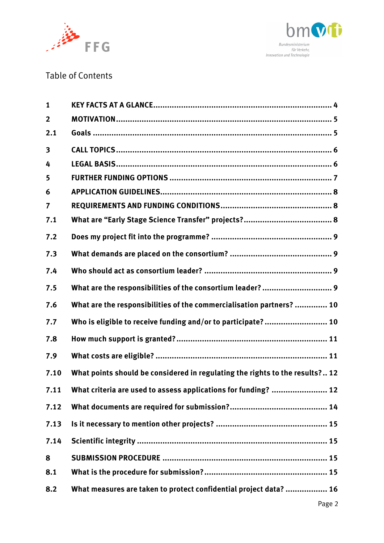



## Table of Contents

| $\mathbf{1}$   |                                                                              |  |
|----------------|------------------------------------------------------------------------------|--|
| $\overline{2}$ |                                                                              |  |
| 2.1            |                                                                              |  |
| 3              |                                                                              |  |
| 4              |                                                                              |  |
| 5              |                                                                              |  |
| 6              |                                                                              |  |
| 7              |                                                                              |  |
| 7.1            |                                                                              |  |
| 7.2            |                                                                              |  |
| 7.3            |                                                                              |  |
| 7.4            |                                                                              |  |
| 7.5            | What are the responsibilities of the consortium leader?  9                   |  |
| 7.6            | What are the responsibilities of the commercialisation partners?  10         |  |
| 7.7            | Who is eligible to receive funding and/or to participate?  10                |  |
| 7.8            |                                                                              |  |
| 7.9            |                                                                              |  |
| 7.10           | What points should be considered in regulating the rights to the results? 12 |  |
| 7.11           | What criteria are used to assess applications for funding?  12               |  |
| 7.12           |                                                                              |  |
| 7.13           |                                                                              |  |
| 7.14           |                                                                              |  |
| 8              |                                                                              |  |
| 8.1            |                                                                              |  |
| 8.2            | What measures are taken to protect confidential project data?  16            |  |
|                |                                                                              |  |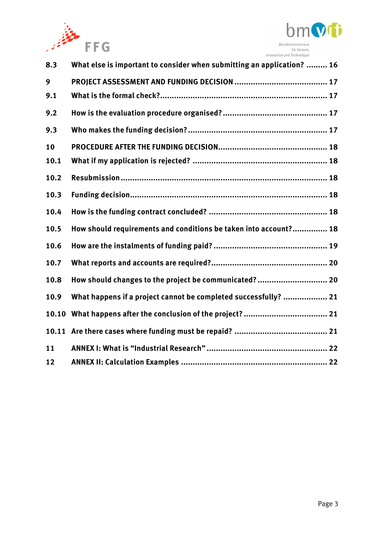



| 8.3   | What else is important to consider when submitting an application?  16 |
|-------|------------------------------------------------------------------------|
| 9     |                                                                        |
| 9.1   |                                                                        |
| 9.2   |                                                                        |
| 9.3   |                                                                        |
| 10    |                                                                        |
| 10.1  |                                                                        |
| 10.2  |                                                                        |
| 10.3  |                                                                        |
| 10.4  |                                                                        |
| 10.5  | How should requirements and conditions be taken into account? 18       |
| 10.6  |                                                                        |
| 10.7  |                                                                        |
| 10.8  | How should changes to the project be communicated?  20                 |
| 10.9  | What happens if a project cannot be completed successfully?  21        |
| 10.10 |                                                                        |
|       |                                                                        |
| 11    |                                                                        |
| 12    |                                                                        |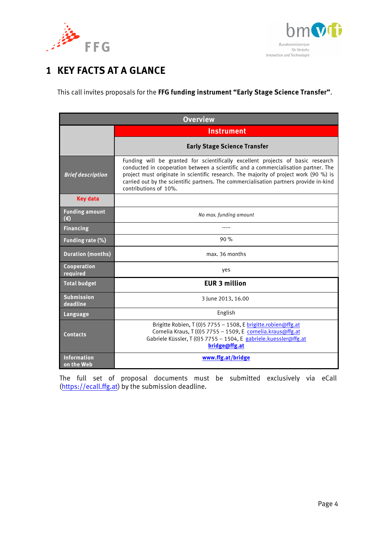



# <span id="page-3-0"></span>**1 KEY FACTS AT A GLANCE**

This call invites proposals for the **FFG funding instrument "Early Stage Science Transfer"**.

| <b>Overview</b>                  |                                                                                                                                                                                                                                                                                                                                                                                   |  |  |
|----------------------------------|-----------------------------------------------------------------------------------------------------------------------------------------------------------------------------------------------------------------------------------------------------------------------------------------------------------------------------------------------------------------------------------|--|--|
|                                  | <b>Instrument</b>                                                                                                                                                                                                                                                                                                                                                                 |  |  |
|                                  | <b>Early Stage Science Transfer</b>                                                                                                                                                                                                                                                                                                                                               |  |  |
| <b>Brief description</b>         | Funding will be granted for scientifically excellent projects of basic research<br>conducted in cooperation between a scientific and a commercialisation partner. The<br>project must originate in scientific research. The majority of project work (90 %) is<br>carried out by the scientific partners. The commercialisation partners provide in-kind<br>contributions of 10%. |  |  |
| <b>Key data</b>                  |                                                                                                                                                                                                                                                                                                                                                                                   |  |  |
| <b>Funding amount</b><br>(€)     | No max. funding amount                                                                                                                                                                                                                                                                                                                                                            |  |  |
| <b>Financing</b>                 |                                                                                                                                                                                                                                                                                                                                                                                   |  |  |
| Funding rate (%)                 | 90%                                                                                                                                                                                                                                                                                                                                                                               |  |  |
| <b>Duration (months)</b>         | max. 36 months                                                                                                                                                                                                                                                                                                                                                                    |  |  |
| Cooperation<br>required          | yes                                                                                                                                                                                                                                                                                                                                                                               |  |  |
| <b>Total budget</b>              | <b>EUR 3 million</b>                                                                                                                                                                                                                                                                                                                                                              |  |  |
| <b>Submission</b><br>deadline    | 3 June 2013, 16.00                                                                                                                                                                                                                                                                                                                                                                |  |  |
| <b>Language</b>                  | English                                                                                                                                                                                                                                                                                                                                                                           |  |  |
| <b>Contacts</b>                  | Brigitte Robien, $T(0)$ 5 7755 - 1508, E brigitte.robien@ffg.at<br>Cornelia Kraus, T (0) 5 7755 - 1509, E cornelia.kraus@ffg.at<br>Gabriele Küssler, T (0)5 7755 - 1504, E gabriele.kuessler@ffg.at<br>bridge@ffg.at                                                                                                                                                              |  |  |
| <b>Information</b><br>on the Web | www.ffg.at/bridge                                                                                                                                                                                                                                                                                                                                                                 |  |  |

The full set of proposal documents must be submitted exclusively via eCall [\(https://ecall.ffg.at\)](https://ecall.ffg.at/) by the submission deadline.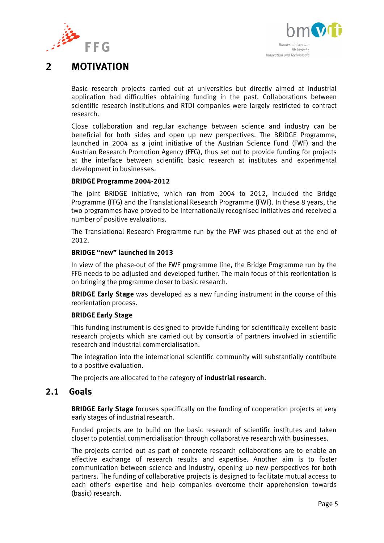



# <span id="page-4-0"></span>**2 MOTIVATION**

Basic research projects carried out at universities but directly aimed at industrial application had difficulties obtaining funding in the past. Collaborations between scientific research institutions and RTDI companies were largely restricted to contract research.

Close collaboration and regular exchange between science and industry can be beneficial for both sides and open up new perspectives. The BRIDGE Programme, launched in 2004 as a joint initiative of the Austrian Science Fund (FWF) and the Austrian Research Promotion Agency (FFG), thus set out to provide funding for projects at the interface between scientific basic research at institutes and experimental development in businesses.

### **BRIDGE Programme 2004-2012**

The joint BRIDGE initiative, which ran from 2004 to 2012, included the Bridge Programme (FFG) and the Translational Research Programme (FWF). In these 8 years, the two programmes have proved to be internationally recognised initiatives and received a number of positive evaluations.

The Translational Research Programme run by the FWF was phased out at the end of 2012.

#### **BRIDGE "new" launched in 2013**

In view of the phase-out of the FWF programme line, the Bridge Programme run by the FFG needs to be adjusted and developed further. The main focus of this reorientation is on bringing the programme closer to basic research.

**BRIDGE Early Stage** was developed as a new funding instrument in the course of this reorientation process.

#### **BRIDGE Early Stage**

This funding instrument is designed to provide funding for scientifically excellent basic research projects which are carried out by consortia of partners involved in scientific research and industrial commercialisation.

The integration into the international scientific community will substantially contribute to a positive evaluation.

The projects are allocated to the category of **industrial research**.

### <span id="page-4-1"></span>**2.1 Goals**

**BRIDGE Early Stage** focuses specifically on the funding of cooperation projects at very early stages of industrial research.

Funded projects are to build on the basic research of scientific institutes and taken closer to potential commercialisation through collaborative research with businesses.

The projects carried out as part of concrete research collaborations are to enable an effective exchange of research results and expertise. Another aim is to foster communication between science and industry, opening up new perspectives for both partners. The funding of collaborative projects is designed to facilitate mutual access to each other's expertise and help companies overcome their apprehension towards (basic) research.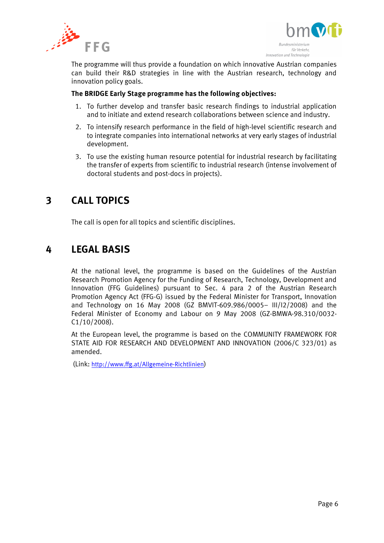



The programme will thus provide a foundation on which innovative Austrian companies can build their R&D strategies in line with the Austrian research, technology and innovation policy goals.

#### **The BRIDGE Early Stage programme has the following objectives:**

- 1. To further develop and transfer basic research findings to industrial application and to initiate and extend research collaborations between science and industry.
- 2. To intensify research performance in the field of high-level scientific research and to integrate companies into international networks at very early stages of industrial development.
- 3. To use the existing human resource potential for industrial research by facilitating the transfer of experts from scientific to industrial research (intense involvement of doctoral students and post-docs in projects).

# <span id="page-5-0"></span>**3 CALL TOPICS**

The call is open for all topics and scientific disciplines.

# <span id="page-5-1"></span>**4 LEGAL BASIS**

At the national level, the programme is based on the Guidelines of the Austrian Research Promotion Agency for the Funding of Research, Technology, Development and Innovation (FFG Guidelines) pursuant to Sec. 4 para 2 of the Austrian Research Promotion Agency Act (FFG-G) issued by the Federal Minister for Transport, Innovation and Technology on 16 May 2008 (GZ BMVIT-609.986/0005– III/I2/2008) and the Federal Minister of Economy and Labour on 9 May 2008 (GZ-BMWA-98.310/0032- C1/10/2008).

At the European level, the programme is based on the COMMUNITY FRAMEWORK FOR STATE AID FOR RESEARCH AND DEVELOPMENT AND INNOVATION (2006/C 323/01) as amended.

(Link: <http://www.ffg.at/Allgemeine-Richtlinien>)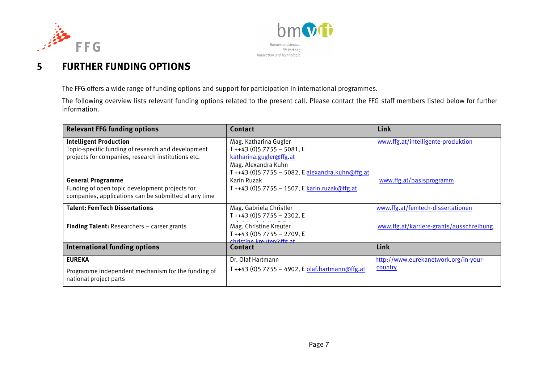



# **5 FURTHER FUNDING OPTIONS**

The FFG offers a wide range of funding options and support for participation in international programmes.

The following overview lists relevant funding options related to the present call. Please contact the FFG staff members listed below for further information.

<span id="page-6-0"></span>

| <b>Relevant FFG funding options</b>                                                                                                       | Contact                                                                                                                                                     | Link                                             |
|-------------------------------------------------------------------------------------------------------------------------------------------|-------------------------------------------------------------------------------------------------------------------------------------------------------------|--------------------------------------------------|
| <b>Intelligent Production</b><br>Topic-specific funding of research and development<br>projects for companies, research institutions etc. | Mag. Katharina Gugler<br>$T + 43$ (0)5 7755 - 5081, E<br>katharina.gugler@ffg.at<br>Mag. Alexandra Kuhn<br>T ++43 (0)5 7755 - 5082, E alexandra.kuhn@ffg.at | www.ffg.at/intelligente-produktion               |
| <b>General Programme</b><br>Funding of open topic development projects for<br>companies, applications can be submitted at any time        | Karin Ruzak                                                                                                                                                 | www.ffg.at/basisprogramm                         |
| <b>Talent: FemTech Dissertations</b>                                                                                                      | Mag. Gabriela Christler<br>T++43 (0)5 7755 - 2302, E                                                                                                        | www.ffg.at/femtech-dissertationen                |
| <b>Finding Talent:</b> Researchers $-$ career grants                                                                                      | Mag. Christine Kreuter<br>$T + +43$ (0) 5 7755 - 2709, E<br>$chriterion$ <i>krouter@ffg.</i> at                                                             | www.ffg.at/karriere-grants/ausschreibung         |
| <b>International funding options</b>                                                                                                      | <b>Contact</b>                                                                                                                                              | Link                                             |
| <b>EUREKA</b><br>Programme independent mechanism for the funding of<br>national project parts                                             | Dr. Olaf Hartmann<br>T ++43 (0)5 7755 - 4902, E olaf.hartmann@ffg.at                                                                                        | http://www.eurekanetwork.org/in-your-<br>country |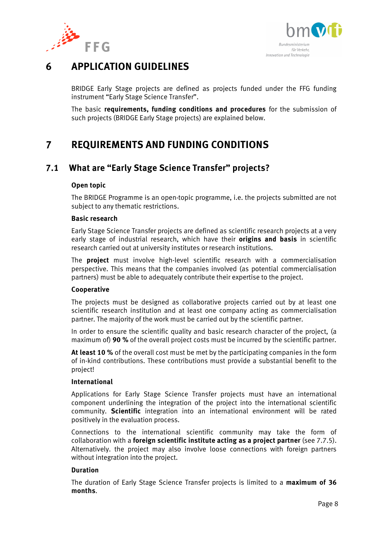



# <span id="page-7-0"></span>**6 APPLICATION GUIDELINES**

BRIDGE Early Stage projects are defined as projects funded under the FFG funding instrument "Early Stage Science Transfer".

The basic **requirements, funding conditions and procedures** for the submission of such projects (BRIDGE Early Stage projects) are explained below.

# <span id="page-7-1"></span>**7 REQUIREMENTS AND FUNDING CONDITIONS**

## <span id="page-7-2"></span>**7.1 What are "Early Stage Science Transfer" projects?**

### **Open topic**

The BRIDGE Programme is an open-topic programme, i.e. the projects submitted are not subject to any thematic restrictions.

#### **Basic research**

Early Stage Science Transfer projects are defined as scientific research projects at a very early stage of industrial research, which have their **origins and basis** in scientific research carried out at university institutes or research institutions.

The **project** must involve high-level scientific research with a commercialisation perspective. This means that the companies involved (as potential commercialisation partners) must be able to adequately contribute their expertise to the project.

### **Cooperative**

The projects must be designed as collaborative projects carried out by at least one scientific research institution and at least one company acting as commercialisation partner. The majority of the work must be carried out by the scientific partner.

In order to ensure the scientific quality and basic research character of the project, (a maximum of) **90 %** of the overall project costs must be incurred by the scientific partner.

**At least 10 %** of the overall cost must be met by the participating companies in the form of in-kind contributions. These contributions must provide a substantial benefit to the project!

### **International**

Applications for Early Stage Science Transfer projects must have an international component underlining the integration of the project into the international scientific community. **Scientific** integration into an international environment will be rated positively in the evaluation process.

Connections to the international scientific community may take the form of collaboration with a **foreign scientific institute acting as a project partner** (see 7.7.5). Alternatively. the project may also involve loose connections with foreign partners without integration into the project.

### **Duration**

The duration of Early Stage Science Transfer projects is limited to a **maximum of 36 months**.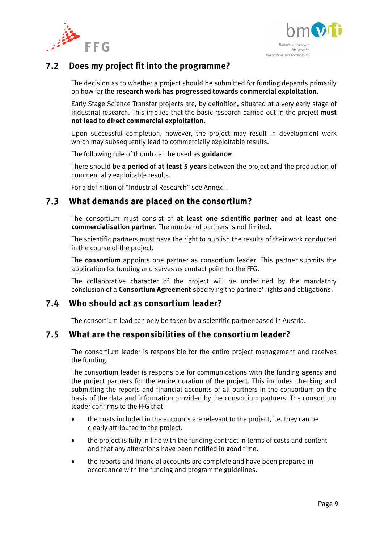



## <span id="page-8-0"></span>**7.2 Does my project fit into the programme?**

The decision as to whether a project should be submitted for funding depends primarily on how far the **research work has progressed towards commercial exploitation**.

Early Stage Science Transfer projects are, by definition, situated at a very early stage of industrial research. This implies that the basic research carried out in the project **must not lead to direct commercial exploitation**.

Upon successful completion, however, the project may result in development work which may subsequently lead to commercially exploitable results.

The following rule of thumb can be used as **guidance**:

There should be **a period of at least 5 years** between the project and the production of commercially exploitable results.

For a definition of "Industrial Research" see Annex I.

### <span id="page-8-1"></span>**7.3 What demands are placed on the consortium?**

The consortium must consist of **at least one scientific partner** and **at least one commercialisation partner**. The number of partners is not limited.

The scientific partners must have the right to publish the results of their work conducted in the course of the project.

The **consortium** appoints one partner as consortium leader. This partner submits the application for funding and serves as contact point for the FFG.

The collaborative character of the project will be underlined by the mandatory conclusion of a **Consortium Agreement** specifying the partners' rights and obligations.

## <span id="page-8-2"></span>**7.4 Who should act as consortium leader?**

The consortium lead can only be taken by a scientific partner based in Austria.

## <span id="page-8-3"></span>**7.5 What are the responsibilities of the consortium leader?**

The consortium leader is responsible for the entire project management and receives the funding.

The consortium leader is responsible for communications with the funding agency and the project partners for the entire duration of the project. This includes checking and submitting the reports and financial accounts of all partners in the consortium on the basis of the data and information provided by the consortium partners. The consortium leader confirms to the FFG that

- the costs included in the accounts are relevant to the project, i.e. they can be clearly attributed to the project.
- the project is fully in line with the funding contract in terms of costs and content and that any alterations have been notified in good time.
- the reports and financial accounts are complete and have been prepared in accordance with the funding and programme guidelines.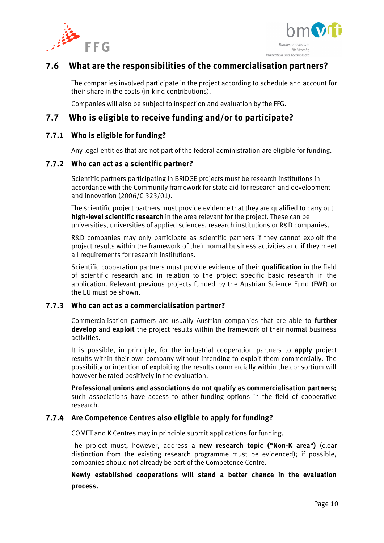



## <span id="page-9-0"></span>**7.6 What are the responsibilities of the commercialisation partners?**

The companies involved participate in the project according to schedule and account for their share in the costs (in-kind contributions).

Companies will also be subject to inspection and evaluation by the FFG.

## <span id="page-9-1"></span>**7.7 Who is eligible to receive funding and/or to participate?**

### **7.7.1 Who is eligible for funding?**

Any legal entities that are not part of the federal administration are eligible for funding.

### **7.7.2 Who can act as a scientific partner?**

Scientific partners participating in BRIDGE projects must be research institutions in accordance with the Community framework for state aid for research and development and innovation (2006/C 323/01).

The scientific project partners must provide evidence that they are qualified to carry out **high-level scientific research** in the area relevant for the project. These can be universities, universities of applied sciences, research institutions or R&D companies.

R&D companies may only participate as scientific partners if they cannot exploit the project results within the framework of their normal business activities and if they meet all requirements for research institutions.

Scientific cooperation partners must provide evidence of their **qualification** in the field of scientific research and in relation to the project specific basic research in the application. Relevant previous projects funded by the Austrian Science Fund (FWF) or the EU must be shown.

### **7.7.3 Who can act as a commercialisation partner?**

Commercialisation partners are usually Austrian companies that are able to **further develop** and **exploit** the project results within the framework of their normal business activities.

It is possible, in principle, for the industrial cooperation partners to **apply** project results within their own company without intending to exploit them commercially. The possibility or intention of exploiting the results commercially within the consortium will however be rated positively in the evaluation.

**Professional unions and associations do not qualify as commercialisation partners;** such associations have access to other funding options in the field of cooperative research.

### **7.7.4 Are Competence Centres also eligible to apply for funding?**

COMET and K Centres may in principle submit applications for funding.

The project must, however, address a **new research topic ("Non-K area**"**)** (clear distinction from the existing research programme must be evidenced); if possible, companies should not already be part of the Competence Centre.

**Newly established cooperations will stand a better chance in the evaluation process.**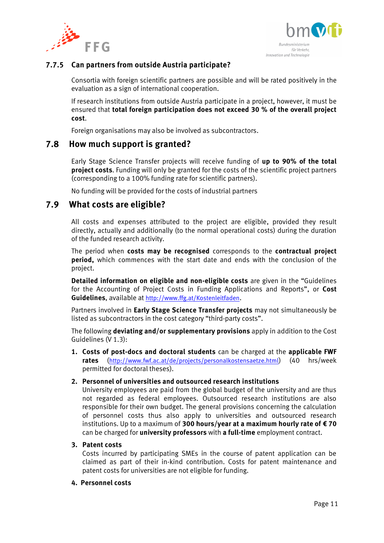



### **7.7.5 Can partners from outside Austria participate?**

Consortia with foreign scientific partners are possible and will be rated positively in the evaluation as a sign of international cooperation.

If research institutions from outside Austria participate in a project, however, it must be ensured that **total foreign participation does not exceed 30 % of the overall project cost**.

Foreign organisations may also be involved as subcontractors.

### <span id="page-10-0"></span>**7.8 How much support is granted?**

Early Stage Science Transfer projects will receive funding of **up to 90% of the total project costs**. Funding will only be granted for the costs of the scientific project partners (corresponding to a 100% funding rate for scientific partners).

No funding will be provided for the costs of industrial partners

### <span id="page-10-1"></span>**7.9 What costs are eligible?**

All costs and expenses attributed to the project are eligible, provided they result directly, actually and additionally (to the normal operational costs) during the duration of the funded research activity.

The period when **costs may be recognised** corresponds to the **contractual project period,** which commences with the start date and ends with the conclusion of the project.

**Detailed information on eligible and non-eligible costs** are given in the "Guidelines for the Accounting of Project Costs in Funding Applications and Reports", or **Cost Guidelines**, available at <http://www.ffg.at/Kostenleitfaden>.

Partners involved in **Early Stage Science Transfer projects** may not simultaneously be listed as subcontractors in the cost category "third-party costs".

The following **deviating and/or supplementary provisions** apply in addition to the Cost Guidelines (V 1.3):

**1. Costs of post-docs and doctoral students** can be charged at the **applicable FWF rates** (<http://www.fwf.ac.at/de/projects/personalkostensaetze.html>) (40 hrs/week permitted for doctoral theses).

#### **2. Personnel of universities and outsourced research institutions**

University employees are paid from the global budget of the university and are thus not regarded as federal employees. Outsourced research institutions are also responsible for their own budget. The general provisions concerning the calculation of personnel costs thus also apply to universities and outsourced research institutions. Up to a maximum of **300 hours/year at a maximum hourly rate of € 70**  can be charged for **university professors** with **a full-time** employment contract.

#### **3. Patent costs**

Costs incurred by participating SMEs in the course of patent application can be claimed as part of their in-kind contribution. Costs for patent maintenance and patent costs for universities are not eligible for funding.

#### **4. Personnel costs**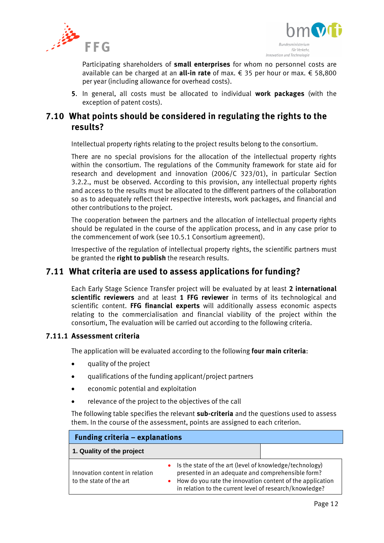



Participating shareholders of **small enterprises** for whom no personnel costs are available can be charged at an **all-in rate** of max. € 35 per hour or max. € 58,800 per year (including allowance for overhead costs).

**5**. In general, all costs must be allocated to individual **work packages** (with the exception of patent costs).

## <span id="page-11-0"></span>**7.10 What points should be considered in regulating the rights to the results?**

Intellectual property rights relating to the project results belong to the consortium.

There are no special provisions for the allocation of the intellectual property rights within the consortium. The regulations of the Community framework for state aid for research and development and innovation (2006/C 323/01), in particular Section 3.2.2., must be observed. According to this provision, any intellectual property rights and access to the results must be allocated to the different partners of the collaboration so as to adequately reflect their respective interests, work packages, and financial and other contributions to the project.

The cooperation between the partners and the allocation of intellectual property rights should be regulated in the course of the application process, and in any case prior to the commencement of work (see 10.5.1 Consortium agreement).

Irrespective of the regulation of intellectual property rights, the scientific partners must be granted the **right to publish** the research results.

## <span id="page-11-1"></span>**7.11 What criteria are used to assess applications for funding?**

Each Early Stage Science Transfer project will be evaluated by at least **2 international scientific reviewers** and at least **1 FFG reviewer** in terms of its technological and scientific content. **FFG financial experts** will additionally assess economic aspects relating to the commercialisation and financial viability of the project within the consortium, The evaluation will be carried out according to the following criteria.

### **7.11.1 Assessment criteria**

The application will be evaluated according to the following **four main criteria**:

- quality of the project
- qualifications of the funding applicant/project partners
- economic potential and exploitation
- relevance of the project to the objectives of the call

The following table specifies the relevant **sub-criteria** and the questions used to assess them. In the course of the assessment, points are assigned to each criterion.

| <b>Funding criteria – explanations</b>                    |                                                                                                                                                                                                                                                     |  |  |
|-----------------------------------------------------------|-----------------------------------------------------------------------------------------------------------------------------------------------------------------------------------------------------------------------------------------------------|--|--|
| 1. Quality of the project                                 |                                                                                                                                                                                                                                                     |  |  |
| Innovation content in relation<br>to the state of the art | • Is the state of the art (level of knowledge/technology)<br>presented in an adequate and comprehensible form?<br>How do you rate the innovation content of the application<br>$\bullet$<br>in relation to the current level of research/knowledge? |  |  |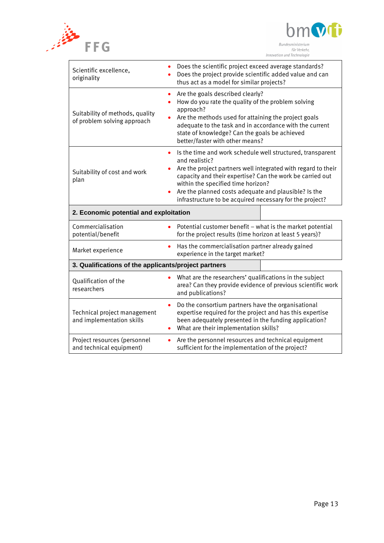



| Scientific excellence,<br>originality                          | Does the scientific project exceed average standards?<br>Does the project provide scientific added value and can<br>thus act as a model for similar projects?                                                                                                                                                                                                                     |  |  |
|----------------------------------------------------------------|-----------------------------------------------------------------------------------------------------------------------------------------------------------------------------------------------------------------------------------------------------------------------------------------------------------------------------------------------------------------------------------|--|--|
| Suitability of methods, quality<br>of problem solving approach | Are the goals described clearly?<br>$\bullet$<br>How do you rate the quality of the problem solving<br>$\bullet$<br>approach?<br>Are the methods used for attaining the project goals<br>adequate to the task and in accordance with the current<br>state of knowledge? Can the goals be achieved<br>better/faster with other means?                                              |  |  |
| Suitability of cost and work<br>plan                           | Is the time and work schedule well structured, transparent<br>$\bullet$<br>and realistic?<br>Are the project partners well integrated with regard to their<br>capacity and their expertise? Can the work be carried out<br>within the specified time horizon?<br>Are the planned costs adequate and plausible? Is the<br>infrastructure to be acquired necessary for the project? |  |  |
| 2. Economic potential and exploitation                         |                                                                                                                                                                                                                                                                                                                                                                                   |  |  |
| Commercialisation<br>potential/benefit                         | Potential customer benefit - what is the market potential<br>for the project results (time horizon at least 5 years)?                                                                                                                                                                                                                                                             |  |  |
| Market experience                                              | Has the commercialisation partner already gained<br>$\bullet$<br>experience in the target market?                                                                                                                                                                                                                                                                                 |  |  |
| 3. Qualifications of the applicants/project partners           |                                                                                                                                                                                                                                                                                                                                                                                   |  |  |
| Qualification of the<br>researchers                            | What are the researchers' qualifications in the subject<br>$\bullet$<br>area? Can they provide evidence of previous scientific work<br>and publications?                                                                                                                                                                                                                          |  |  |
| Technical project management                                   | Do the consortium partners have the organisational<br>$\bullet$<br>expertise required for the project and has this expertise<br>been adequately presented in the funding application?<br>What are their implementation skills?                                                                                                                                                    |  |  |
| and implementation skills                                      |                                                                                                                                                                                                                                                                                                                                                                                   |  |  |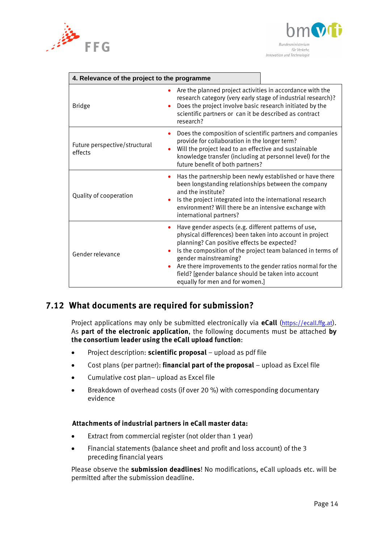



| 4. Relevance of the project to the programme                       |                                                                                                                                                                                                                                                                                                                                                                                                                 |  |
|--------------------------------------------------------------------|-----------------------------------------------------------------------------------------------------------------------------------------------------------------------------------------------------------------------------------------------------------------------------------------------------------------------------------------------------------------------------------------------------------------|--|
| <b>Bridge</b><br>$\bullet$                                         | Are the planned project activities in accordance with the<br>research category (very early stage of industrial research)?<br>Does the project involve basic research initiated by the<br>scientific partners or can it be described as contract<br>research?                                                                                                                                                    |  |
| $\bullet$<br>Future perspective/structural<br>$\bullet$<br>effects | Does the composition of scientific partners and companies<br>provide for collaboration in the longer term?<br>Will the project lead to an effective and sustainable<br>knowledge transfer (including at personnel level) for the<br>future benefit of both partners?                                                                                                                                            |  |
| Quality of cooperation                                             | Has the partnership been newly established or have there<br>been longstanding relationships between the company<br>and the institute?<br>Is the project integrated into the international research<br>environment? Will there be an intensive exchange with<br>international partners?                                                                                                                          |  |
| ٠<br>Gender relevance                                              | Have gender aspects (e.g. different patterns of use,<br>physical differences) been taken into account in project<br>planning? Can positive effects be expected?<br>Is the composition of the project team balanced in terms of<br>gender mainstreaming?<br>Are there improvements to the gender ratios normal for the<br>field? [gender balance should be taken into account<br>equally for men and for women.] |  |

## <span id="page-13-0"></span>**7.12 What documents are required for submission?**

Project applications may only be submitted electronically via **eCall** ([https://ecall.ffg.at](https://ecall.ffg.at/)). As **part of the electronic application**, the following documents must be attached **by the consortium leader using the eCall upload function**:

- Project description: **scientific proposal** upload as pdf file
- Cost plans (per partner): **financial part of the proposal** upload as Excel file
- Cumulative cost plan– upload as Excel file
- Breakdown of overhead costs (if over 20 %) with corresponding documentary evidence

#### **Attachments of industrial partners in eCall master data:**

- Extract from commercial register (not older than 1 year)
- Financial statements (balance sheet and profit and loss account) of the 3 preceding financial years

Please observe the **submission deadlines**! No modifications, eCall uploads etc. will be permitted after the submission deadline.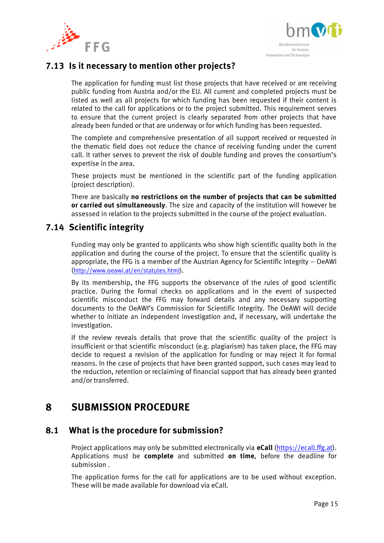



## <span id="page-14-0"></span>**7.13 Is it necessary to mention other projects?**

The application for funding must list those projects that have received or are receiving public funding from Austria and/or the EU. All current and completed projects must be listed as well as all projects for which funding has been requested if their content is related to the call for applications or to the project submitted. This requirement serves to ensure that the current project is clearly separated from other projects that have already been funded or that are underway or for which funding has been requested.

The complete and comprehensive presentation of all support received or requested in the thematic field does not reduce the chance of receiving funding under the current call. It rather serves to prevent the risk of double funding and proves the consortium's expertise in the area.

These projects must be mentioned in the scientific part of the funding application (project description).

There are basically **no restrictions on the number of projects that can be submitted or carried out simultaneously**. The size and capacity of the institution will however be assessed in relation to the projects submitted in the course of the project evaluation.

## <span id="page-14-1"></span>**7.14 Scientific integrity**

Funding may only be granted to applicants who show high scientific quality both in the application and during the course of the project. To ensure that the scientific quality is appropriate, the FFG is a member of the Austrian Agency for Scientific Integrity – OeAWI ([http://www.oeawi.at/en/statutes.html\)](http://www.oeawi.at/en/statutes.html).

By its membership, the FFG supports the observance of the rules of good scientific practice. During the formal checks on applications and in the event of suspected scientific misconduct the FFG may forward details and any necessary supporting documents to the OeAWI's Commission for Scientific Integrity. The OeAWI will decide whether to initiate an independent investigation and, if necessary, will undertake the investigation.

If the review reveals details that prove that the scientific quality of the project is insufficient or that scientific misconduct (e.g. plagiarism) has taken place, the FFG may decide to request a revision of the application for funding or may reject it for formal reasons. In the case of projects that have been granted support, such cases may lead to the reduction, retention or reclaiming of financial support that has already been granted and/or transferred.

# <span id="page-14-2"></span>**8 SUBMISSION PROCEDURE**

## <span id="page-14-3"></span>**8.1 What is the procedure for submission?**

Project applications may only be submitted electronically via **eCall** [\(https://ecall.ffg.at\)](https://ecall.ffg.at/). Applications must be **complete** and submitted **on time**, before the deadline for submission .

The application forms for the call for applications are to be used without exception. These will be made available for download via eCall.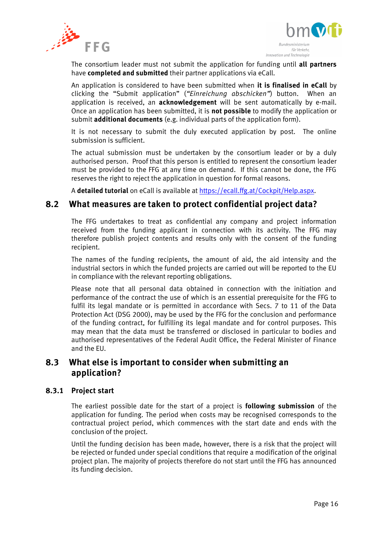



The consortium leader must not submit the application for funding until **all partners** have **completed and submitted** their partner applications via eCall.

An application is considered to have been submitted when **it is finalised in eCall** by clicking the "Submit application" (*"Einreichung abschicken"*) button. When an application is received, an **acknowledgement** will be sent automatically by e-mail. Once an application has been submitted, it is **not possible** to modify the application or submit **additional documents** (e.g. individual parts of the application form).

It is not necessary to submit the duly executed application by post. The online submission is sufficient.

The actual submission must be undertaken by the consortium leader or by a duly authorised person. Proof that this person is entitled to represent the consortium leader must be provided to the FFG at any time on demand. If this cannot be done, the FFG reserves the right to reject the application in question for formal reasons.

A **detailed tutorial** on eCall is available at [https://ecall.ffg.at/Cockpit/Help.aspx.](https://ecall.ffg.at/Cockpit/Help.aspx)

### <span id="page-15-0"></span>**8.2 What measures are taken to protect confidential project data?**

The FFG undertakes to treat as confidential any company and project information received from the funding applicant in connection with its activity. The FFG may therefore publish project contents and results only with the consent of the funding recipient.

The names of the funding recipients, the amount of aid, the aid intensity and the industrial sectors in which the funded projects are carried out will be reported to the EU in compliance with the relevant reporting obligations.

Please note that all personal data obtained in connection with the initiation and performance of the contract the use of which is an essential prerequisite for the FFG to fulfil its legal mandate or is permitted in accordance with Secs. 7 to 11 of the Data Protection Act (DSG 2000), may be used by the FFG for the conclusion and performance of the funding contract, for fulfilling its legal mandate and for control purposes. This may mean that the data must be transferred or disclosed in particular to bodies and authorised representatives of the Federal Audit Office, the Federal Minister of Finance and the EU.

## <span id="page-15-1"></span>**8.3 What else is important to consider when submitting an application?**

### **8.3.1 Project start**

The earliest possible date for the start of a project is **following submission** of the application for funding. The period when costs may be recognised corresponds to the contractual project period, which commences with the start date and ends with the conclusion of the project.

Until the funding decision has been made, however, there is a risk that the project will be rejected or funded under special conditions that require a modification of the original project plan. The majority of projects therefore do not start until the FFG has announced its funding decision.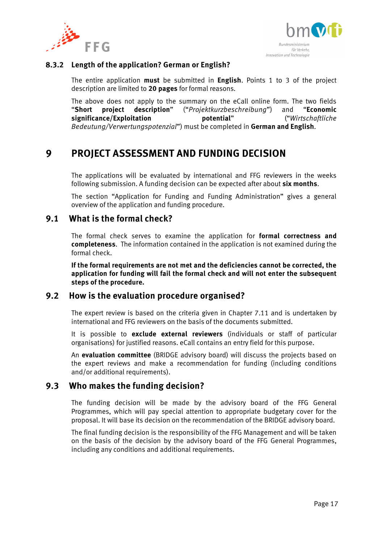



### **8.3.2 Length of the application? German or English?**

The entire application **must** be submitted in **English**. Points 1 to 3 of the project description are limited to **20 pages** for formal reasons.

The above does not apply to the summary on the eCall online form. The two fields "**Short project description**" ("*Projektkurzbeschreibung*") and "**Economic significance/Exploitation potential**" ("*Wirtschaftliche Bedeutung/Verwertungspotenzial*") must be completed in **German and English**.

# <span id="page-16-0"></span>**9 PROJECT ASSESSMENT AND FUNDING DECISION**

The applications will be evaluated by international and FFG reviewers in the weeks following submission. A funding decision can be expected after about **six months**.

The section "Application for Funding and Funding Administration" gives a general overview of the application and funding procedure.

## <span id="page-16-1"></span>**9.1 What is the formal check?**

The formal check serves to examine the application for **formal correctness and completeness**. The information contained in the application is not examined during the formal check.

**If the formal requirements are not met and the deficiencies cannot be corrected, the application for funding will fail the formal check and will not enter the subsequent steps of the procedure.** 

### <span id="page-16-2"></span>**9.2 How is the evaluation procedure organised?**

The expert review is based on the criteria given in Chapter 7.11 and is undertaken by international and FFG reviewers on the basis of the documents submitted.

It is possible to **exclude external reviewers** (individuals or staff of particular organisations) for justified reasons. eCall contains an entry field for this purpose.

An **evaluation committee** (BRIDGE advisory board) will discuss the projects based on the expert reviews and make a recommendation for funding (including conditions and/or additional requirements).

## <span id="page-16-3"></span>**9.3 Who makes the funding decision?**

The funding decision will be made by the advisory board of the FFG General Programmes, which will pay special attention to appropriate budgetary cover for the proposal. It will base its decision on the recommendation of the BRIDGE advisory board.

The final funding decision is the responsibility of the FFG Management and will be taken on the basis of the decision by the advisory board of the FFG General Programmes, including any conditions and additional requirements.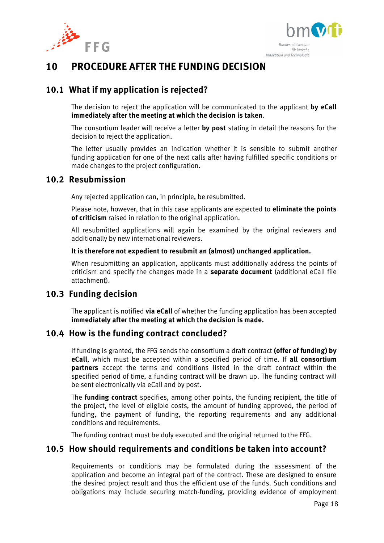



# <span id="page-17-0"></span>**10 PROCEDURE AFTER THE FUNDING DECISION**

## <span id="page-17-1"></span>**10.1 What if my application is rejected?**

The decision to reject the application will be communicated to the applicant **by eCall immediately after the meeting at which the decision is taken**.

The consortium leader will receive a letter **by post** stating in detail the reasons for the decision to reject the application.

The letter usually provides an indication whether it is sensible to submit another funding application for one of the next calls after having fulfilled specific conditions or made changes to the project configuration.

## <span id="page-17-2"></span>**10.2 Resubmission**

Any rejected application can, in principle, be resubmitted.

Please note, however, that in this case applicants are expected to **eliminate the points of criticism** raised in relation to the original application.

All resubmitted applications will again be examined by the original reviewers and additionally by new international reviewers.

### **It is therefore not expedient to resubmit an (almost) unchanged application.**

When resubmitting an application, applicants must additionally address the points of criticism and specify the changes made in a **separate document** (additional eCall file attachment).

## <span id="page-17-3"></span>**10.3 Funding decision**

The applicant is notified **via eCall** of whether the funding application has been accepted **immediately after the meeting at which the decision is made.** 

## <span id="page-17-4"></span>**10.4 How is the funding contract concluded?**

If funding is granted, the FFG sends the consortium a draft contract **(offer of funding) by eCall**, which must be accepted within a specified period of time. If **all consortium partners** accept the terms and conditions listed in the draft contract within the specified period of time, a funding contract will be drawn up. The funding contract will be sent electronically via eCall and by post.

The **funding contract** specifies, among other points, the funding recipient, the title of the project, the level of eligible costs, the amount of funding approved, the period of funding, the payment of funding, the reporting requirements and any additional conditions and requirements.

The funding contract must be duly executed and the original returned to the FFG.

## <span id="page-17-5"></span>**10.5 How should requirements and conditions be taken into account?**

Requirements or conditions may be formulated during the assessment of the application and become an integral part of the contract. These are designed to ensure the desired project result and thus the efficient use of the funds. Such conditions and obligations may include securing match-funding, providing evidence of employment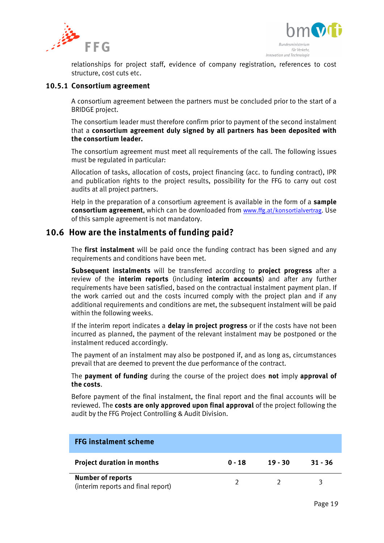



relationships for project staff, evidence of company registration, references to cost structure, cost cuts etc.

#### **10.5.1 Consortium agreement**

A consortium agreement between the partners must be concluded prior to the start of a BRIDGE project.

The consortium leader must therefore confirm prior to payment of the second instalment that a **consortium agreement duly signed by all partners has been deposited with the consortium leader.**

The consortium agreement must meet all requirements of the call. The following issues must be regulated in particular:

Allocation of tasks, allocation of costs, project financing (acc. to funding contract), IPR and publication rights to the project results, possibility for the FFG to carry out cost audits at all project partners.

Help in the preparation of a consortium agreement is available in the form of a **sample consortium agreement**, which can be downloaded from [www.ffg.at/konsortialvertrag.](http://www.ffg.at/konsortialvertrag) Use of this sample agreement is not mandatory.

## <span id="page-18-0"></span>**10.6 How are the instalments of funding paid?**

The **first instalment** will be paid once the funding contract has been signed and any requirements and conditions have been met.

**Subsequent instalments** will be transferred according to **project progress** after a review of the **interim reports** (including **interim accounts**) and after any further requirements have been satisfied, based on the contractual instalment payment plan. If the work carried out and the costs incurred comply with the project plan and if any additional requirements and conditions are met, the subsequent instalment will be paid within the following weeks.

If the interim report indicates a **delay in project progress** or if the costs have not been incurred as planned, the payment of the relevant instalment may be postponed or the instalment reduced accordingly.

The payment of an instalment may also be postponed if, and as long as, circumstances prevail that are deemed to prevent the due performance of the contract.

The **payment of funding** during the course of the project does **not** imply **approval of the costs**.

Before payment of the final instalment, the final report and the final accounts will be reviewed. The **costs are only approved upon final approval** of the project following the audit by the FFG Project Controlling & Audit Division.

| <b>FFG instalment scheme</b>                                   |          |         |           |
|----------------------------------------------------------------|----------|---------|-----------|
| <b>Project duration in months</b>                              | $0 - 18$ | 19 - 30 | $31 - 36$ |
| <b>Number of reports</b><br>(interim reports and final report) |          |         |           |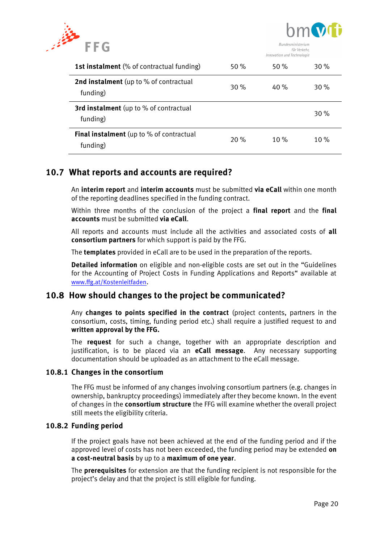



|                                                             |     | <i><u><b>IIIIIOVULIOII UIIU ILLIIIIOIOUIL</b></u></i> |      |
|-------------------------------------------------------------|-----|-------------------------------------------------------|------|
| <b>1st instalment</b> (% of contractual funding)            | 50% | 50%                                                   | 30 % |
| <b>2nd instalment</b> (up to % of contractual<br>funding)   | 30% | 40 $\%$                                               | 30 % |
| <b>3rd instalment</b> (up to % of contractual<br>funding)   |     |                                                       | 30%  |
| <b>Final instalment</b> (up to % of contractual<br>funding) | 20% | 10%                                                   | 10%  |

## <span id="page-19-0"></span>**10.7 What reports and accounts are required?**

An **interim report** and **interim accounts** must be submitted **via eCall** within one month of the reporting deadlines specified in the funding contract.

Within three months of the conclusion of the project a **final report** and the **final accounts** must be submitted **via eCall**.

All reports and accounts must include all the activities and associated costs of **all consortium partners** for which support is paid by the FFG.

The **templates** provided in eCall are to be used in the preparation of the reports.

**Detailed information** on eligible and non-eligible costs are set out in the "Guidelines for the Accounting of Project Costs in Funding Applications and Reports" available at [www.ffg.at/Kostenleitfaden](http://www.ffg.at/Kostenleitfaden).

## <span id="page-19-1"></span>**10.8 How should changes to the project be communicated?**

Any **changes to points specified in the contract** (project contents, partners in the consortium, costs, timing, funding period etc.) shall require a justified request to and **written approval by the FFG.**

The **request** for such a change, together with an appropriate description and justification, is to be placed via an **eCall message**. Any necessary supporting documentation should be uploaded as an attachment to the eCall message.

### **10.8.1 Changes in the consortium**

The FFG must be informed of any changes involving consortium partners (e.g. changes in ownership, bankruptcy proceedings) immediately after they become known. In the event of changes in the **consortium structure** the FFG will examine whether the overall project still meets the eligibility criteria.

### **10.8.2 Funding period**

If the project goals have not been achieved at the end of the funding period and if the approved level of costs has not been exceeded, the funding period may be extended **on a cost-neutral basis** by up to a **maximum of one year**.

The **prerequisites** for extension are that the funding recipient is not responsible for the project's delay and that the project is still eligible for funding.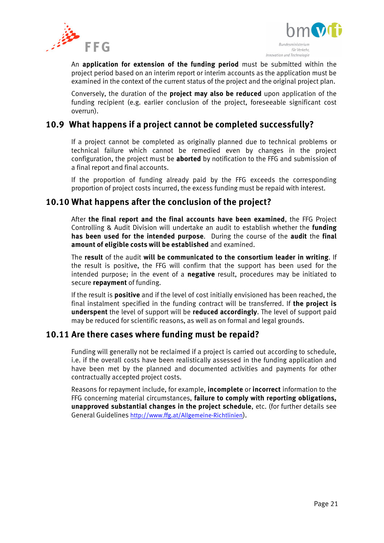



An **application for extension of the funding period** must be submitted within the project period based on an interim report or interim accounts as the application must be examined in the context of the current status of the project and the original project plan.

Conversely, the duration of the **project may also be reduced** upon application of the funding recipient (e.g. earlier conclusion of the project, foreseeable significant cost overrun).

## <span id="page-20-0"></span>**10.9 What happens if a project cannot be completed successfully?**

If a project cannot be completed as originally planned due to technical problems or technical failure which cannot be remedied even by changes in the project configuration, the project must be **aborted** by notification to the FFG and submission of a final report and final accounts.

If the proportion of funding already paid by the FFG exceeds the corresponding proportion of project costs incurred, the excess funding must be repaid with interest.

## <span id="page-20-1"></span>**10.10 What happens after the conclusion of the project?**

After **the final report and the final accounts have been examined**, the FFG Project Controlling & Audit Division will undertake an audit to establish whether the **funding has been used for the intended purpose**. During the course of the **audit** the **final amount of eligible costs will be established** and examined.

The **result** of the audit **will be communicated to the consortium leader in writing**. If the result is positive, the FFG will confirm that the support has been used for the intended purpose; in the event of a **negative** result, procedures may be initiated to secure **repayment** of funding.

If the result is **positive** and if the level of cost initially envisioned has been reached, the final instalment specified in the funding contract will be transferred. If **the project is underspent** the level of support will be **reduced accordingly**. The level of support paid may be reduced for scientific reasons, as well as on formal and legal grounds.

## <span id="page-20-2"></span>**10.11 Are there cases where funding must be repaid?**

Funding will generally not be reclaimed if a project is carried out according to schedule, i.e. if the overall costs have been realistically assessed in the funding application and have been met by the planned and documented activities and payments for other contractually accepted project costs.

Reasons for repayment include, for example, **incomplete** or **incorrect** information to the FFG concerning material circumstances, **failure to comply with reporting obligations, unapproved substantial changes in the project schedule**, etc. (for further details see General Guidelines <http://www.ffg.at/Allgemeine-Richtlinien>).